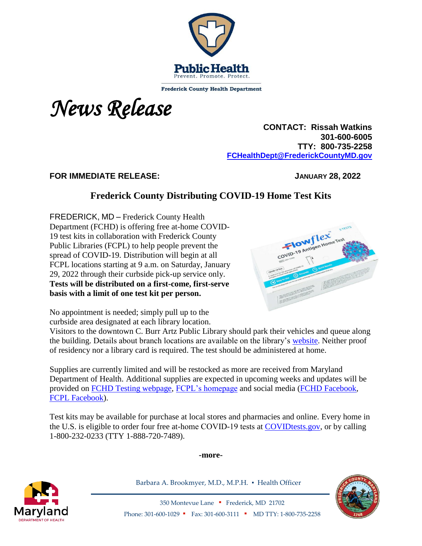

**Frederick County Health Department** 



 **CONTACT: Rissah Watkins 301-600-6005 TTY: 800-735-2258 [FCHealthDept@FrederickCountyMD.gov](mailto:RWatkinsFCHealthDept@FrederickCountyMD.gov)**

## **FOR IMMEDIATE RELEASE: JANUARY 28, 2022**

## **Frederick County Distributing COVID-19 Home Test Kits**

FREDERICK, MD – Frederick County Health Department (FCHD) is offering free at-home COVID-19 test kits in collaboration with Frederick County Public Libraries (FCPL) to help people prevent the spread of COVID-19. Distribution will begin at all FCPL locations starting at 9 a.m. on Saturday, January 29, 2022 through their curbside pick-up service only. **Tests will be distributed on a first-come, first-serve basis with a limit of one test kit per person.**



No appointment is needed; simply pull up to the curbside area designated at each library location.

Visitors to the downtown C. Burr Artz Public Library should park their vehicles and queue along the building. Details about branch locations are available on the library's [website.](https://www.fcpl.org/branches-hours) Neither proof of residency nor a library card is required. The test should be administered at home.

Supplies are currently limited and will be restocked as more are received from Maryland Department of Health. Additional supplies are expected in upcoming weeks and updates will be provided on [FCHD Testing webpage,](https://health.frederickcountymd.gov/633/How-To-Get-Tested) [FCPL's homepage](http://www.fcpl.org/) and social media [\(FCHD Facebook,](https://www.facebook.com/fchealthdept) [FCPL Facebook\)](https://www.facebook.com/FredCoLibrary).

Test kits may be available for purchase at local stores and pharmacies and online. Every home in the U.S. is eligible to order four free at-home COVID-19 tests at [COVIDtests.gov,](http://covidtests.gov/) or by calling 1-800-232-0233 (TTY 1-888-720-7489).

**-more-**



Barbara A. Brookmyer, M.D., M.P.H. · Health Officer



350 Montevue Lane ▪ Frederick, MD 21702 Phone: 301-600-1029 • Fax: 301-600-3111 • MD TTY: 1-800-735-2258